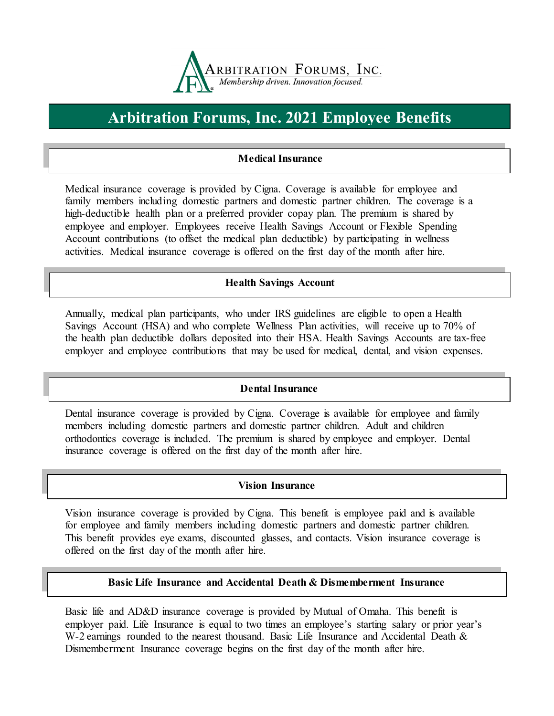

# **Arbitration Forums, Inc. 2021 Employee Benefits**

# **Medical Insurance**

Medical insurance coverage is provided by Cigna. Coverage is available for employee and family members including domestic partners and domestic partner children. The coverage is a high-deductible health plan or a preferred provider copay plan. The premium is shared by employee and employer. Employees receive Health Savings Account or Flexible Spending Account contributions (to offset the medical plan deductible) by participating in wellness activities. Medical insurance coverage is offered on the first day of the month after hire.

## **Health Savings Account**

Annually, medical plan participants, who under IRS guidelines are eligible to open a Health Savings Account (HSA) and who complete Wellness Plan activities, will receive up to 70% of the health plan deductible dollars deposited into their HSA. Health Savings Accounts are tax-free employer and employee contributions that may be used for medical, dental, and vision expenses.

## **Dental Insurance**

Dental insurance coverage is provided by Cigna. Coverage is available for employee and family members including domestic partners and domestic partner children. Adult and children orthodontics coverage is included. The premium is shared by employee and employer. Dental insurance coverage is offered on the first day of the month after hire.

#### **Vision Insurance**

Vision insurance coverage is provided by Cigna. This benefit is employee paid and is available for employee and family members including domestic partners and domestic partner children. This benefit provides eye exams, discounted glasses, and contacts. Vision insurance coverage is offered on the first day of the month after hire.

## **Basic Life Insurance and Accidental Death & Dismemberment Insurance**

Basic life and AD&D insurance coverage is provided by Mutual of Omaha. This benefit is employer paid. Life Insurance is equal to two times an employee's starting salary or prior year's W-2 earnings rounded to the nearest thousand. Basic Life Insurance and Accidental Death & Dismemberment Insurance coverage begins on the first day of the month after hire.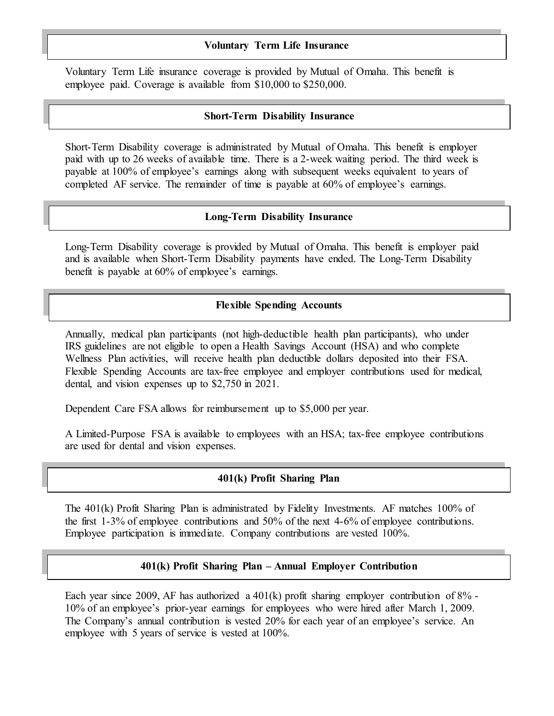#### **Voluntary Term Life Insurance**

Voluntary Term Life insurance coverage is provided by Mutual of Omaha. This benefit is employee paid. Coverage is available from \$10,000 to \$250,000.

#### **Short-Term Disability Insurance**

Short-Term Disability coverage is administrated by Mutual of Omaha. This benefit is employer paid with up to 26 weeks of available time. There is a 2-week waiting period. The third week is payable at 100% of employee's earnings along with subsequent weeks equivalent to years of completed AF service. The remainder of time is payable at 60% of employee's earnings.

#### **Long-Term Disability Insurance**

Long-Term Disability coverage is provided by Mutual of Omaha. This benefit is employer paid and is available when Short-Term Disability payments have ended. The Long-Term Disability benefit is payable at 60% of employee's earnings.

## **Flexible Spending Accounts**

Annually, medical plan participants (not high-deductible health plan participants), who under IRS guidelines are not eligible to open a Health Savings Account (HSA) and who complete Wellness Plan activities, will receive health plan deductible dollars deposited into their FSA. Flexible Spending Accounts are tax-free employee and employer contributions used for medical, dental, and vision expenses up to \$2,750 in 2021.

Dependent Care FSA allows for reimbursement up to \$5,000 per year.

A Limited-Purpose FSA is available to employees with an HSA; tax-free employee contributions are used for dental and vision expenses.

#### **401(k) Profit Sharing Plan**

The 401(k) Profit Sharing Plan is administrated by Fidelity Investments. AF matches 100% of the first 1-3% of employee contributions and 50% of the next 4-6% of employee contributions. Employee participation is immediate. Company contributions are vested 100%.

## **401(k) Profit Sharing Plan – Annual Employer Contribution**

Each year since 2009, AF has authorized a  $401(k)$  profit sharing employer contribution of 8% -10% of an employee's prior-year earnings for employees who were hired after March 1, 2009. The Company's annual contribution is vested 20% for each year of an employee's service. An employee with 5 years of service is vested at 100%.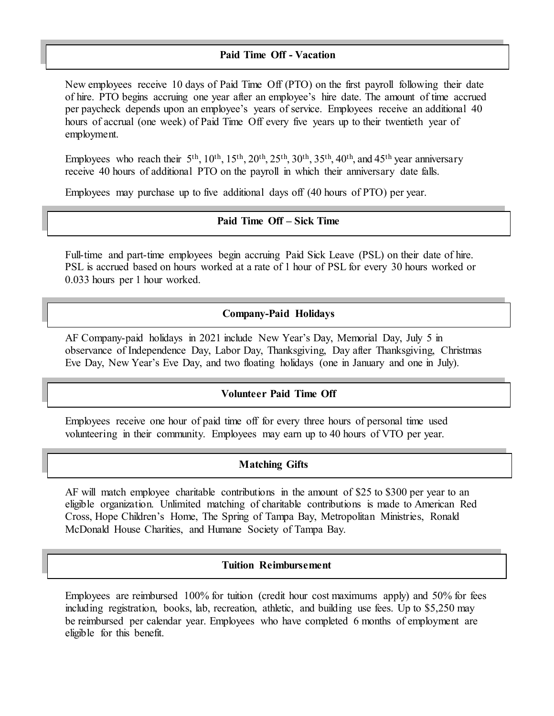## **Paid Time Off - Vacation**

New employees receive 10 days of Paid Time Off (PTO) on the first payroll following their date of hire. PTO begins accruing one year after an employee's hire date. The amount of time accrued per paycheck depends upon an employee's years of service. Employees receive an additional 40 hours of accrual (one week) of Paid Time Off every five years up to their twentieth year of employment.

Employees who reach their  $5<sup>th</sup>$ ,  $10<sup>th</sup>$ ,  $15<sup>th</sup>$ ,  $20<sup>th</sup>$ ,  $25<sup>th</sup>$ ,  $30<sup>th</sup>$ ,  $35<sup>th</sup>$ ,  $40<sup>th</sup>$ , and  $45<sup>th</sup>$  year anniversary receive 40 hours of additional PTO on the payroll in which their anniversary date falls.

Employees may purchase up to five additional days off (40 hours of PTO) per year.

# **Paid Time Off – Sick Time**

Full-time and part-time employees begin accruing Paid Sick Leave (PSL) on their date of hire. PSL is accrued based on hours worked at a rate of 1 hour of PSL for every 30 hours worked or 0.033 hours per 1 hour worked.

#### **Company-Paid Holidays**

AF Company-paid holidays in 2021 include New Year's Day, Memorial Day, July 5 in observance of Independence Day, Labor Day, Thanksgiving, Day after Thanksgiving, Christmas Eve Day, New Year's Eve Day, and two floating holidays (one in January and one in July).

#### **Volunteer Paid Time Off**

Employees receive one hour of paid time off for every three hours of personal time used volunteering in their community. Employees may earn up to 40 hours of VTO per year.

#### **Matching Gifts**

AF will match employee charitable contributions in the amount of \$25 to \$300 per year to an eligible organization. Unlimited matching of charitable contributions is made to American Red Cross, Hope Children's Home, The Spring of Tampa Bay, Metropolitan Ministries, Ronald McDonald House Charities, and Humane Society of Tampa Bay.

## **Tuition Reimbursement**

Employees are reimbursed 100% for tuition (credit hour cost maximums apply) and 50% for fees including registration, books, lab, recreation, athletic, and building use fees. Up to \$5,250 may be reimbursed per calendar year. Employees who have completed 6 months of employment are eligible for this benefit.